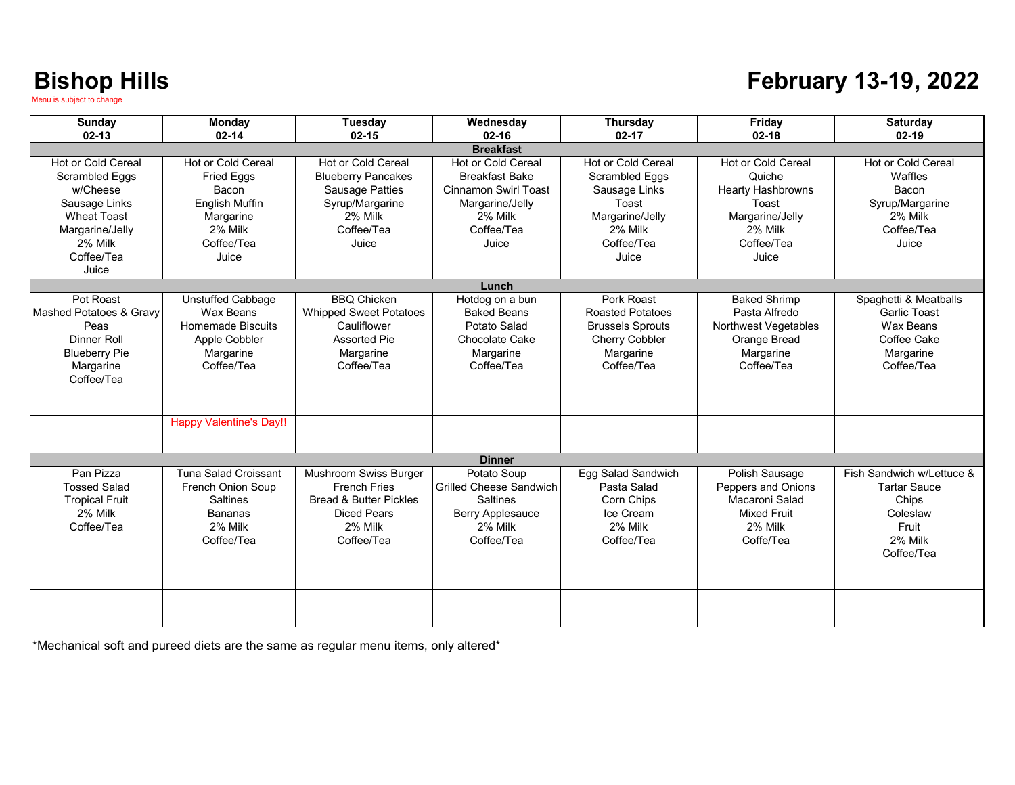#### **February 13-19, 2022**

| <b>Sunday</b><br>$02 - 13$                                                                                                                          | Monday<br>$02 - 14$                                                                                                                      | <b>Tuesday</b><br>$02 - 15$                                                                                                      | Wednesday<br>$02 - 16$                                                                                                          | Thursday<br>$02 - 17$                                                                                                             | Friday<br>$02 - 18$                                                                                                           | <b>Saturday</b><br>$02 - 19$                                                                            |  |
|-----------------------------------------------------------------------------------------------------------------------------------------------------|------------------------------------------------------------------------------------------------------------------------------------------|----------------------------------------------------------------------------------------------------------------------------------|---------------------------------------------------------------------------------------------------------------------------------|-----------------------------------------------------------------------------------------------------------------------------------|-------------------------------------------------------------------------------------------------------------------------------|---------------------------------------------------------------------------------------------------------|--|
| <b>Breakfast</b>                                                                                                                                    |                                                                                                                                          |                                                                                                                                  |                                                                                                                                 |                                                                                                                                   |                                                                                                                               |                                                                                                         |  |
| Hot or Cold Cereal<br><b>Scrambled Eggs</b><br>w/Cheese<br>Sausage Links<br><b>Wheat Toast</b><br>Margarine/Jelly<br>2% Milk<br>Coffee/Tea<br>Juice | <b>Hot or Cold Cereal</b><br>Fried Eggs<br>Bacon<br>English Muffin<br>Margarine<br>2% Milk<br>Coffee/Tea<br>Juice                        | Hot or Cold Cereal<br><b>Blueberry Pancakes</b><br><b>Sausage Patties</b><br>Syrup/Margarine<br>2% Milk<br>Coffee/Tea<br>Juice   | Hot or Cold Cereal<br><b>Breakfast Bake</b><br><b>Cinnamon Swirl Toast</b><br>Margarine/Jelly<br>2% Milk<br>Coffee/Tea<br>Juice | <b>Hot or Cold Cereal</b><br><b>Scrambled Eggs</b><br>Sausage Links<br>Toast<br>Margarine/Jelly<br>2% Milk<br>Coffee/Tea<br>Juice | <b>Hot or Cold Cereal</b><br>Quiche<br><b>Hearty Hashbrowns</b><br>Toast<br>Margarine/Jelly<br>2% Milk<br>Coffee/Tea<br>Juice | Hot or Cold Cereal<br>Waffles<br>Bacon<br>Syrup/Margarine<br>2% Milk<br>Coffee/Tea<br>Juice             |  |
|                                                                                                                                                     |                                                                                                                                          |                                                                                                                                  | Lunch                                                                                                                           |                                                                                                                                   |                                                                                                                               |                                                                                                         |  |
| Pot Roast<br>Mashed Potatoes & Gravy<br>Peas<br><b>Dinner Roll</b><br><b>Blueberry Pie</b><br>Margarine<br>Coffee/Tea                               | <b>Unstuffed Cabbage</b><br>Wax Beans<br>Homemade Biscuits<br>Apple Cobbler<br>Margarine<br>Coffee/Tea<br><b>Happy Valentine's Day!!</b> | <b>BBQ Chicken</b><br><b>Whipped Sweet Potatoes</b><br>Cauliflower<br><b>Assorted Pie</b><br>Margarine<br>Coffee/Tea             | Hotdog on a bun<br><b>Baked Beans</b><br>Potato Salad<br>Chocolate Cake<br>Margarine<br>Coffee/Tea                              | Pork Roast<br><b>Roasted Potatoes</b><br><b>Brussels Sprouts</b><br><b>Cherry Cobbler</b><br>Margarine<br>Coffee/Tea              | <b>Baked Shrimp</b><br>Pasta Alfredo<br>Northwest Vegetables<br>Orange Bread<br>Margarine<br>Coffee/Tea                       | Spaghetti & Meatballs<br><b>Garlic Toast</b><br>Wax Beans<br>Coffee Cake<br>Margarine<br>Coffee/Tea     |  |
|                                                                                                                                                     |                                                                                                                                          |                                                                                                                                  |                                                                                                                                 |                                                                                                                                   |                                                                                                                               |                                                                                                         |  |
|                                                                                                                                                     |                                                                                                                                          |                                                                                                                                  | <b>Dinner</b>                                                                                                                   |                                                                                                                                   |                                                                                                                               |                                                                                                         |  |
| Pan Pizza<br><b>Tossed Salad</b><br><b>Tropical Fruit</b><br>2% Milk<br>Coffee/Tea                                                                  | <b>Tuna Salad Croissant</b><br><b>French Onion Soup</b><br><b>Saltines</b><br><b>Bananas</b><br>2% Milk<br>Coffee/Tea                    | Mushroom Swiss Burger<br><b>French Fries</b><br><b>Bread &amp; Butter Pickles</b><br><b>Diced Pears</b><br>2% Milk<br>Coffee/Tea | Potato Soup<br><b>Grilled Cheese Sandwich</b><br><b>Saltines</b><br><b>Berry Applesauce</b><br>2% Milk<br>Coffee/Tea            | Egg Salad Sandwich<br>Pasta Salad<br>Corn Chips<br>Ice Cream<br>2% Milk<br>Coffee/Tea                                             | Polish Sausage<br>Peppers and Onions<br>Macaroni Salad<br><b>Mixed Fruit</b><br>2% Milk<br>Coffe/Tea                          | Fish Sandwich w/Lettuce &<br><b>Tartar Sauce</b><br>Chips<br>Coleslaw<br>Fruit<br>2% Milk<br>Coffee/Tea |  |
|                                                                                                                                                     |                                                                                                                                          |                                                                                                                                  |                                                                                                                                 |                                                                                                                                   |                                                                                                                               |                                                                                                         |  |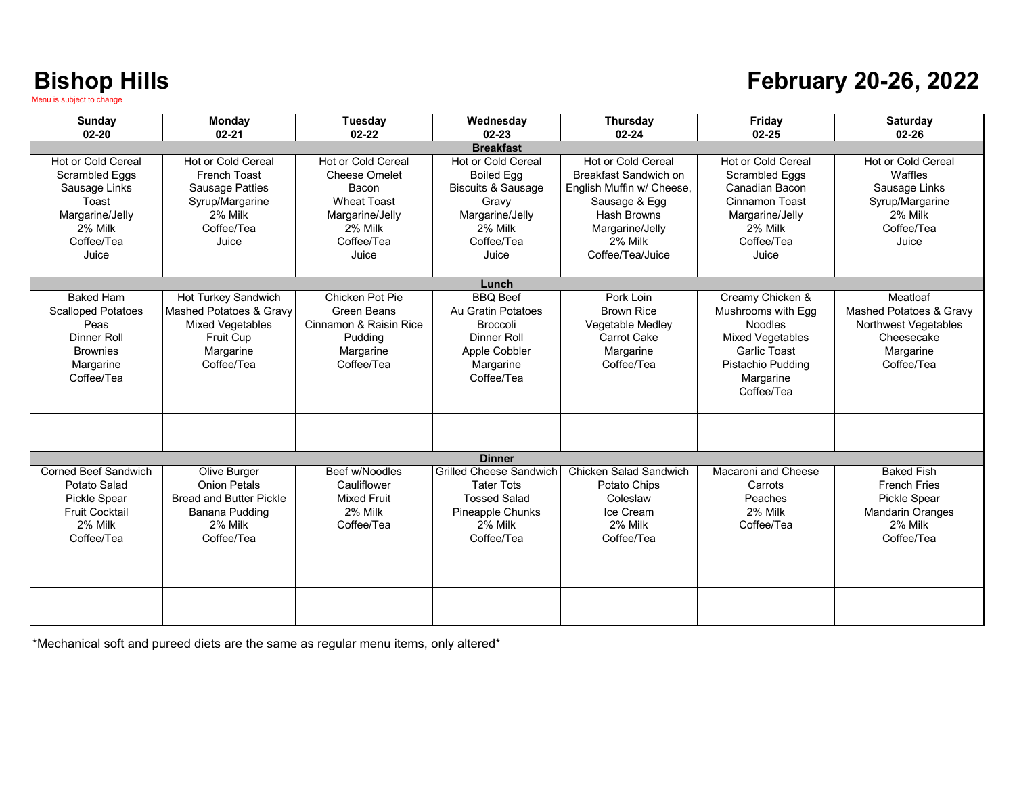#### **February 20-26, 2022**

| <b>Sunday</b>                        | Monday                             | Tuesday                                           | Wednesday                               | <b>Thursday</b>                                    | Friday                               | <b>Saturday</b>               |  |  |
|--------------------------------------|------------------------------------|---------------------------------------------------|-----------------------------------------|----------------------------------------------------|--------------------------------------|-------------------------------|--|--|
| $02 - 20$                            | $02 - 21$                          | $02 - 22$                                         | $02 - 23$                               | $02 - 24$                                          | $02 - 25$                            | 02-26                         |  |  |
|                                      | <b>Breakfast</b>                   |                                                   |                                         |                                                    |                                      |                               |  |  |
| Hot or Cold Cereal<br>Scrambled Eggs | Hot or Cold Cereal<br>French Toast | <b>Hot or Cold Cereal</b><br><b>Cheese Omelet</b> | Hot or Cold Cereal<br><b>Boiled Egg</b> | <b>Hot or Cold Cereal</b><br>Breakfast Sandwich on | Hot or Cold Cereal<br>Scrambled Eggs | Hot or Cold Cereal<br>Waffles |  |  |
| Sausage Links                        | <b>Sausage Patties</b>             | Bacon                                             | <b>Biscuits &amp; Sausage</b>           | English Muffin w/ Cheese,                          | Canadian Bacon                       | Sausage Links                 |  |  |
| Toast                                | Syrup/Margarine                    | <b>Wheat Toast</b>                                | Gravy                                   | Sausage & Egg                                      | Cinnamon Toast                       | Syrup/Margarine               |  |  |
| Margarine/Jelly                      | 2% Milk                            | Margarine/Jelly                                   | Margarine/Jelly                         | <b>Hash Browns</b>                                 | Margarine/Jelly                      | 2% Milk                       |  |  |
| 2% Milk                              | Coffee/Tea                         | 2% Milk                                           | 2% Milk                                 | Margarine/Jelly                                    | 2% Milk                              | Coffee/Tea                    |  |  |
| Coffee/Tea                           | Juice                              | Coffee/Tea                                        | Coffee/Tea                              | 2% Milk                                            | Coffee/Tea                           | Juice                         |  |  |
| Juice                                |                                    | Juice                                             | Juice                                   | Coffee/Tea/Juice                                   | Juice                                |                               |  |  |
|                                      |                                    |                                                   |                                         |                                                    |                                      |                               |  |  |
| <b>Baked Ham</b>                     | Hot Turkey Sandwich                | Chicken Pot Pie                                   | Lunch<br><b>BBQ</b> Beef                | Pork Loin                                          | Creamy Chicken &                     | Meatloaf                      |  |  |
| <b>Scalloped Potatoes</b>            | Mashed Potatoes & Gravy            | Green Beans                                       | Au Gratin Potatoes                      | <b>Brown Rice</b>                                  | Mushrooms with Egg                   | Mashed Potatoes & Gravy       |  |  |
| Peas                                 | <b>Mixed Vegetables</b>            | Cinnamon & Raisin Rice                            | <b>Broccoli</b>                         | Vegetable Medley                                   | <b>Noodles</b>                       | Northwest Vegetables          |  |  |
| <b>Dinner Roll</b>                   | <b>Fruit Cup</b>                   | Pudding                                           | Dinner Roll                             | Carrot Cake                                        | <b>Mixed Vegetables</b>              | Cheesecake                    |  |  |
| <b>Brownies</b>                      | Margarine                          | Margarine                                         | Apple Cobbler                           | Margarine                                          | <b>Garlic Toast</b>                  | Margarine                     |  |  |
| Margarine                            | Coffee/Tea                         | Coffee/Tea                                        | Margarine                               | Coffee/Tea                                         | Pistachio Pudding                    | Coffee/Tea                    |  |  |
| Coffee/Tea                           |                                    |                                                   | Coffee/Tea                              |                                                    | Margarine                            |                               |  |  |
|                                      |                                    |                                                   |                                         |                                                    | Coffee/Tea                           |                               |  |  |
|                                      |                                    |                                                   |                                         |                                                    |                                      |                               |  |  |
|                                      |                                    |                                                   |                                         |                                                    |                                      |                               |  |  |
|                                      |                                    |                                                   |                                         |                                                    |                                      |                               |  |  |
|                                      |                                    |                                                   | <b>Dinner</b>                           |                                                    |                                      |                               |  |  |
| Corned Beef Sandwich                 | Olive Burger                       | Beef w/Noodles                                    | <b>Grilled Cheese Sandwich</b>          | Chicken Salad Sandwich                             | Macaroni and Cheese                  | <b>Baked Fish</b>             |  |  |
| Potato Salad                         | <b>Onion Petals</b>                | Cauliflower                                       | <b>Tater Tots</b>                       | Potato Chips                                       | Carrots                              | <b>French Fries</b>           |  |  |
| <b>Pickle Spear</b>                  | <b>Bread and Butter Pickle</b>     | <b>Mixed Fruit</b>                                | <b>Tossed Salad</b>                     | Coleslaw                                           | Peaches                              | <b>Pickle Spear</b>           |  |  |
| <b>Fruit Cocktail</b>                | Banana Pudding                     | 2% Milk                                           | Pineapple Chunks                        | Ice Cream                                          | 2% Milk                              | <b>Mandarin Oranges</b>       |  |  |
| 2% Milk                              | 2% Milk                            | Coffee/Tea                                        | 2% Milk                                 | 2% Milk                                            | Coffee/Tea                           | 2% Milk                       |  |  |
| Coffee/Tea                           | Coffee/Tea                         |                                                   | Coffee/Tea                              | Coffee/Tea                                         |                                      | Coffee/Tea                    |  |  |
|                                      |                                    |                                                   |                                         |                                                    |                                      |                               |  |  |
|                                      |                                    |                                                   |                                         |                                                    |                                      |                               |  |  |
|                                      |                                    |                                                   |                                         |                                                    |                                      |                               |  |  |
|                                      |                                    |                                                   |                                         |                                                    |                                      |                               |  |  |
|                                      |                                    |                                                   |                                         |                                                    |                                      |                               |  |  |
|                                      |                                    |                                                   |                                         |                                                    |                                      |                               |  |  |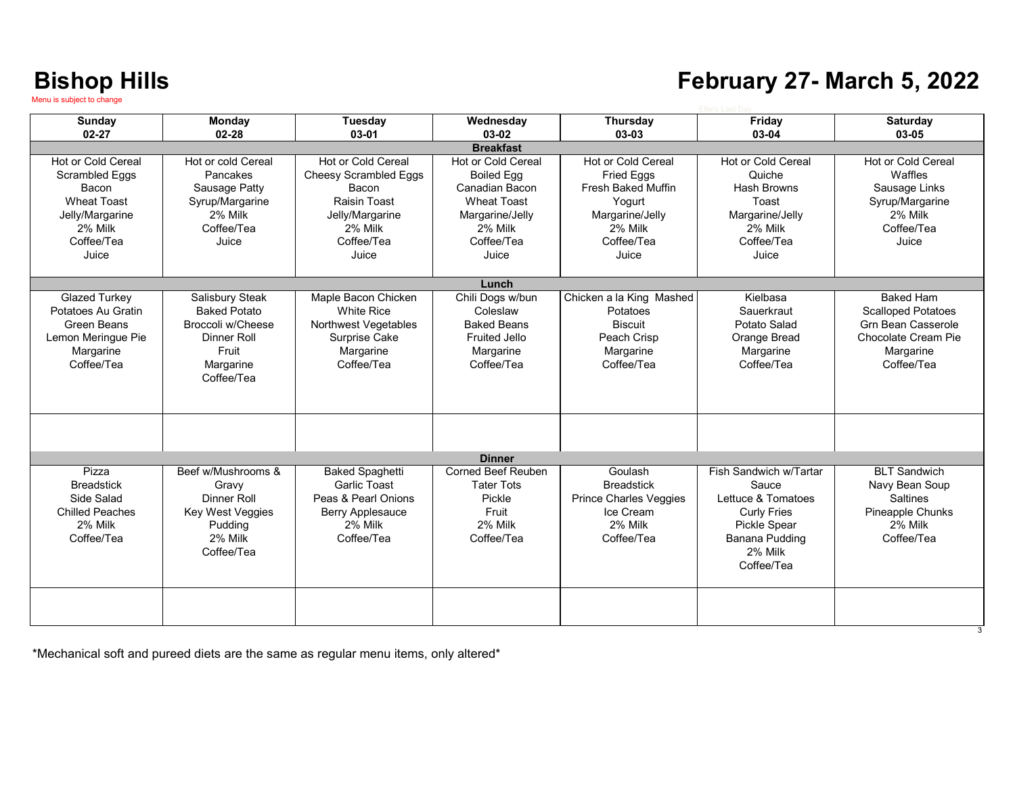#### **February 27- March 5, 2022**

| Sunday                 | Monday              | <b>Tuesday</b>               | Wednesday                 | Thursday                      | Friday                 | <b>Saturday</b>           |
|------------------------|---------------------|------------------------------|---------------------------|-------------------------------|------------------------|---------------------------|
| $02 - 27$              | $02 - 28$           | 03-01                        | 03-02                     | 03-03                         | 03-04                  | 03-05                     |
|                        |                     |                              | <b>Breakfast</b>          |                               |                        |                           |
| Hot or Cold Cereal     | Hot or cold Cereal  | Hot or Cold Cereal           | Hot or Cold Cereal        | <b>Hot or Cold Cereal</b>     | Hot or Cold Cereal     | Hot or Cold Cereal        |
| <b>Scrambled Eggs</b>  | Pancakes            | <b>Cheesy Scrambled Eggs</b> | <b>Boiled Egg</b>         | <b>Fried Eggs</b>             | Quiche                 | Waffles                   |
| Bacon                  | Sausage Patty       | Bacon                        | Canadian Bacon            | <b>Fresh Baked Muffin</b>     | <b>Hash Browns</b>     | Sausage Links             |
| <b>Wheat Toast</b>     | Syrup/Margarine     | Raisin Toast                 | <b>Wheat Toast</b>        | Yogurt                        | Toast                  | Syrup/Margarine           |
| Jelly/Margarine        | 2% Milk             | Jelly/Margarine              | Margarine/Jelly           | Margarine/Jelly               | Margarine/Jelly        | 2% Milk                   |
| 2% Milk                | Coffee/Tea          | 2% Milk                      | 2% Milk                   | 2% Milk                       | 2% Milk                | Coffee/Tea                |
| Coffee/Tea             | Juice               | Coffee/Tea                   | Coffee/Tea                | Coffee/Tea                    | Coffee/Tea             | Juice                     |
| Juice                  |                     | Juice                        | Juice                     | Juice                         | Juice                  |                           |
|                        |                     |                              |                           |                               |                        |                           |
|                        |                     |                              | Lunch                     |                               |                        |                           |
| <b>Glazed Turkey</b>   | Salisbury Steak     | Maple Bacon Chicken          | Chili Dogs w/bun          | Chicken a la King Mashed      | Kielbasa               | <b>Baked Ham</b>          |
| Potatoes Au Gratin     | <b>Baked Potato</b> | <b>White Rice</b>            | Coleslaw                  | Potatoes                      | Sauerkraut             | <b>Scalloped Potatoes</b> |
| Green Beans            | Broccoli w/Cheese   | Northwest Vegetables         | <b>Baked Beans</b>        | <b>Biscuit</b>                | Potato Salad           | Grn Bean Casserole        |
| Lemon Merinque Pie     | Dinner Roll         | Surprise Cake                | <b>Fruited Jello</b>      | Peach Crisp                   | Orange Bread           | Chocolate Cream Pie       |
| Margarine              | Fruit               | Margarine                    | Margarine                 | Margarine                     | Margarine              | Margarine                 |
| Coffee/Tea             | Margarine           | Coffee/Tea                   | Coffee/Tea                | Coffee/Tea                    | Coffee/Tea             | Coffee/Tea                |
|                        | Coffee/Tea          |                              |                           |                               |                        |                           |
|                        |                     |                              |                           |                               |                        |                           |
|                        |                     |                              |                           |                               |                        |                           |
|                        |                     |                              |                           |                               |                        |                           |
|                        |                     |                              |                           |                               |                        |                           |
|                        |                     |                              |                           |                               |                        |                           |
|                        |                     |                              | <b>Dinner</b>             |                               |                        |                           |
| Pizza                  | Beef w/Mushrooms &  | <b>Baked Spaghetti</b>       | <b>Corned Beef Reuben</b> | Goulash                       | Fish Sandwich w/Tartar | <b>BLT Sandwich</b>       |
| <b>Breadstick</b>      | Gravy               | <b>Garlic Toast</b>          | <b>Tater Tots</b>         | <b>Breadstick</b>             | Sauce                  | Navy Bean Soup            |
| Side Salad             | Dinner Roll         | Peas & Pearl Onions          | Pickle                    | <b>Prince Charles Veggies</b> | Lettuce & Tomatoes     | Saltines                  |
| <b>Chilled Peaches</b> | Key West Veggies    | <b>Berry Applesauce</b>      | Fruit                     | Ice Cream                     | <b>Curly Fries</b>     | Pineapple Chunks          |
| 2% Milk                | Puddina             | 2% Milk                      | 2% Milk                   | 2% Milk                       | Pickle Spear           | 2% Milk                   |
| Coffee/Tea             | 2% Milk             | Coffee/Tea                   | Coffee/Tea                | Coffee/Tea                    | <b>Banana Pudding</b>  | Coffee/Tea                |
|                        | Coffee/Tea          |                              |                           |                               | 2% Milk                |                           |
|                        |                     |                              |                           |                               | Coffee/Tea             |                           |
|                        |                     |                              |                           |                               |                        |                           |
|                        |                     |                              |                           |                               |                        |                           |
|                        |                     |                              |                           |                               |                        |                           |
|                        |                     |                              |                           |                               |                        |                           |

\*Mechanical soft and pureed diets are the same as regular menu items, only altered\*

3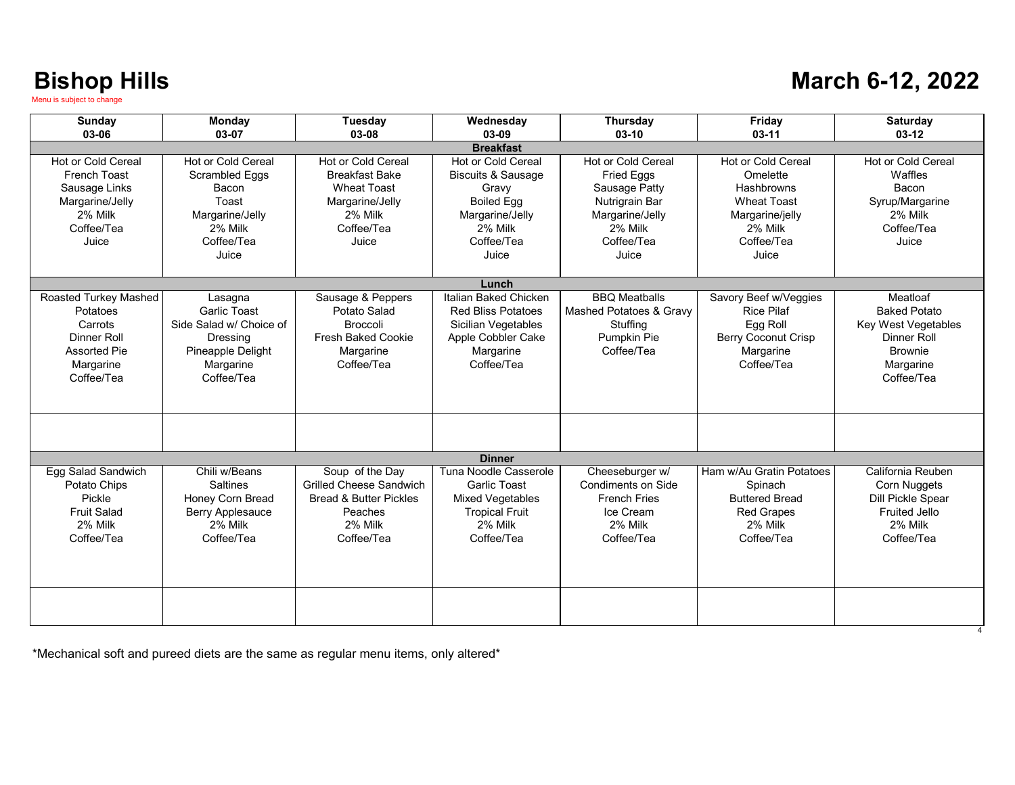#### **March 6-12, 2022**

| Sunday                                                                                                          | Monday<br>03-07                                                                                                    | <b>Tuesday</b>                                                                                                             | Wednesday                                                                                                                              | <b>Thursday</b>                                                                                                                        | Friday<br>$03-11$                                                                                                                     | <b>Saturday</b><br>$03-12$                                                                                                |
|-----------------------------------------------------------------------------------------------------------------|--------------------------------------------------------------------------------------------------------------------|----------------------------------------------------------------------------------------------------------------------------|----------------------------------------------------------------------------------------------------------------------------------------|----------------------------------------------------------------------------------------------------------------------------------------|---------------------------------------------------------------------------------------------------------------------------------------|---------------------------------------------------------------------------------------------------------------------------|
| 03-06                                                                                                           |                                                                                                                    | 03-08                                                                                                                      | 03-09<br><b>Breakfast</b>                                                                                                              | $03-10$                                                                                                                                |                                                                                                                                       |                                                                                                                           |
| <b>Hot or Cold Cereal</b><br>French Toast<br>Sausage Links<br>Margarine/Jelly<br>2% Milk<br>Coffee/Tea<br>Juice | Hot or Cold Cereal<br><b>Scrambled Eggs</b><br>Bacon<br>Toast<br>Margarine/Jelly<br>2% Milk<br>Coffee/Tea<br>Juice | Hot or Cold Cereal<br><b>Breakfast Bake</b><br><b>Wheat Toast</b><br>Margarine/Jelly<br>2% Milk<br>Coffee/Tea<br>Juice     | Hot or Cold Cereal<br><b>Biscuits &amp; Sausage</b><br>Gravy<br><b>Boiled Egg</b><br>Margarine/Jelly<br>2% Milk<br>Coffee/Tea<br>Juice | <b>Hot or Cold Cereal</b><br><b>Fried Eggs</b><br>Sausage Patty<br>Nutrigrain Bar<br>Margarine/Jelly<br>2% Milk<br>Coffee/Tea<br>Juice | <b>Hot or Cold Cereal</b><br>Omelette<br><b>Hashbrowns</b><br><b>Wheat Toast</b><br>Margarine/jelly<br>2% Milk<br>Coffee/Tea<br>Juice | <b>Hot or Cold Cereal</b><br>Waffles<br><b>Bacon</b><br>Syrup/Margarine<br>2% Milk<br>Coffee/Tea<br>Juice                 |
|                                                                                                                 |                                                                                                                    |                                                                                                                            | Lunch                                                                                                                                  |                                                                                                                                        |                                                                                                                                       |                                                                                                                           |
| Roasted Turkey Mashed<br>Potatoes<br>Carrots<br>Dinner Roll<br><b>Assorted Pie</b><br>Margarine<br>Coffee/Tea   | Lasagna<br>Garlic Toast<br>Side Salad w/ Choice of<br>Dressing<br>Pineapple Delight<br>Margarine<br>Coffee/Tea     | Sausage & Peppers<br>Potato Salad<br><b>Broccoli</b><br>Fresh Baked Cookie<br>Margarine<br>Coffee/Tea                      | Italian Baked Chicken<br><b>Red Bliss Potatoes</b><br>Sicilian Vegetables<br>Apple Cobbler Cake<br>Margarine<br>Coffee/Tea             | <b>BBO</b> Meatballs<br>Mashed Potatoes & Gravy<br>Stuffing<br>Pumpkin Pie<br>Coffee/Tea                                               | Savory Beef w/Veggies<br><b>Rice Pilaf</b><br>Egg Roll<br>Berry Coconut Crisp<br>Margarine<br>Coffee/Tea                              | Meatloaf<br><b>Baked Potato</b><br><b>Key West Vegetables</b><br>Dinner Roll<br><b>Brownie</b><br>Margarine<br>Coffee/Tea |
|                                                                                                                 |                                                                                                                    |                                                                                                                            |                                                                                                                                        |                                                                                                                                        |                                                                                                                                       |                                                                                                                           |
|                                                                                                                 |                                                                                                                    |                                                                                                                            | <b>Dinner</b>                                                                                                                          |                                                                                                                                        |                                                                                                                                       |                                                                                                                           |
| Egg Salad Sandwich<br>Potato Chips<br>Pickle<br><b>Fruit Salad</b><br>2% Milk<br>Coffee/Tea                     | Chili w/Beans<br><b>Saltines</b><br>Honey Corn Bread<br><b>Berry Applesauce</b><br>2% Milk<br>Coffee/Tea           | Soup of the Day<br><b>Grilled Cheese Sandwich</b><br><b>Bread &amp; Butter Pickles</b><br>Peaches<br>2% Milk<br>Coffee/Tea | Tuna Noodle Casserole<br>Garlic Toast<br><b>Mixed Vegetables</b><br><b>Tropical Fruit</b><br>2% Milk<br>Coffee/Tea                     | Cheeseburger w/<br>Condiments on Side<br><b>French Fries</b><br>Ice Cream<br>2% Milk<br>Coffee/Tea                                     | Ham w/Au Gratin Potatoes<br>Spinach<br><b>Buttered Bread</b><br><b>Red Grapes</b><br>2% Milk<br>Coffee/Tea                            | California Reuben<br>Corn Nuggets<br>Dill Pickle Spear<br><b>Fruited Jello</b><br>2% Milk<br>Coffee/Tea                   |
|                                                                                                                 |                                                                                                                    |                                                                                                                            |                                                                                                                                        |                                                                                                                                        |                                                                                                                                       |                                                                                                                           |